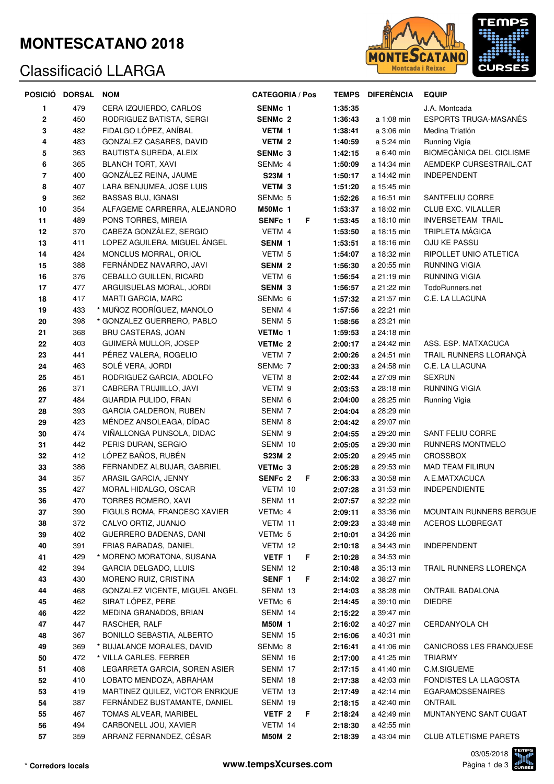### **MONTESCATANO 2018**

### Classificació LLARGA



|             | POSICIÓ DORSAL NOM |                                                 | <b>CATEGORIA / Pos</b> |                    | TEMPS DIFERÈNCIA           | <b>EQUIP</b>                                       |
|-------------|--------------------|-------------------------------------------------|------------------------|--------------------|----------------------------|----------------------------------------------------|
| 1           | 479                | CERA IZQUIERDO, CARLOS                          | <b>SENMc 1</b>         | 1:35:35            |                            | J.A. Montcada                                      |
| $\mathbf 2$ | 450                | RODRIGUEZ BATISTA, SERGI                        | <b>SENMc 2</b>         | 1:36:43            | a 1:08 min                 | <b>ESPORTS TRUGA-MASANÉS</b>                       |
| 3           | 482                | FIDALGO LÓPEZ, ANÍBAL                           | VETM 1                 | 1:38:41            | a 3:06 min                 | Medina Triatlón                                    |
| 4           | 483                | GONZALEZ CASARES, DAVID                         | VETM 2                 | 1:40:59            | a 5:24 min                 | Running Vigía                                      |
| 5           | 363                | BAUTISTA SUREDA, ALEIX                          | SENMc 3                | 1:42:15            | a 6:40 min                 | <b>BIOMECÀNICA DEL CICLISME</b>                    |
| 6           | 365                | <b>BLANCH TORT, XAVI</b>                        | SENMc 4                | 1:50:09            | a 14:34 min                | AEMDEKP CURSESTRAIL.CAT                            |
| 7           | 400                | GONZÁLEZ REINA, JAUME                           | S23M 1                 | 1:50:17            | a 14:42 min                | <b>INDEPENDENT</b>                                 |
| 8           | 407                | LARA BENJUMEA, JOSE LUIS                        | VETM <sub>3</sub>      | 1:51:20            | a 15:45 min                |                                                    |
| 9           | 362                | <b>BASSAS BUJ, IGNASI</b>                       | SENMc 5                | 1:52:26            | a 16:51 min                | SANTFELIU CORRE                                    |
| 10          | 354                | ALFAGEME CARRERRA, ALEJANDRO                    | <b>M50Mc 1</b>         | 1:53:37            | a 18:02 min                | <b>CLUB EXC. VILALLER</b>                          |
| 11          | 489<br>370         | PONS TORRES, MIREIA<br>CABEZA GONZÁLEZ, SERGIO  | SENFc 1<br>F.          | 1:53:45            | a 18:10 min                | <b>INVERSETEAM TRAIL</b><br><b>TRIPLETA MÁGICA</b> |
| 12<br>13    | 411                | LOPEZ AGUILERA, MIGUEL ANGEL                    | VETM 4<br>SENM 1       | 1:53:50<br>1:53:51 | a 18:15 min<br>a 18:16 min | OJU KE PASSU                                       |
| 14          | 424                | MONCLUS MORRAL, ORIOL                           | VETM 5                 | 1:54:07            | a 18:32 min                | RIPOLLET UNIO ATLETICA                             |
| 15          | 388                | FERNÁNDEZ NAVARRO, JAVI                         | <b>SENM 2</b>          | 1:56:30            | a 20:55 min                | <b>RUNNING VIGIA</b>                               |
| 16          | 376                | CEBALLO GUILLEN, RICARD                         | VETM 6                 | 1:56:54            | a 21:19 min                | <b>RUNNING VIGIA</b>                               |
| 17          | 477                | ARGUISUELAS MORAL, JORDI                        | <b>SENM 3</b>          | 1:56:57            | a 21:22 min                | TodoRunners.net                                    |
| 18          | 417                | MARTI GARCIA, MARC                              | SENMc 6                | 1:57:32            | a 21:57 min                | C.E. LA LLACUNA                                    |
| 19          | 433                | * MUÑOZ RODRÍGUEZ, MANOLO                       | SENM 4                 | 1:57:56            | a 22:21 min                |                                                    |
| 20          | 398                | * GONZALEZ GUERRERO, PABLO                      | SENM 5                 | 1:58:56            | a 23:21 min                |                                                    |
| 21          | 368                | <b>BRU CASTERAS, JOAN</b>                       | VETMc 1                | 1:59:53            | a 24:18 min                |                                                    |
| 22          | 403                | GUIMERÀ MULLOR, JOSEP                           | VETMc 2                | 2:00:17            | a 24:42 min                | ASS. ESP. MATXACUCA                                |
| 23          | 441                | PÉREZ VALERA, ROGELIO                           | VETM 7                 | 2:00:26            | a 24:51 min                | TRAIL RUNNERS LLORANÇA                             |
| 24          | 463                | SOLÉ VERA, JORDI                                | SENMc 7                | 2:00:33            | a 24:58 min                | C.E. LA LLACUNA                                    |
| 25          | 451                | RODRIGUEZ GARCIA, ADOLFO                        | VETM 8                 | 2:02:44            | a 27:09 min                | <b>SEXRUN</b>                                      |
| 26          | 371                | CABRERA TRUJIILLO, JAVI                         | VETM 9                 | 2:03:53            | a 28:18 min                | RUNNING VIGIA                                      |
| 27          | 484                | <b>GUARDIA PULIDO, FRAN</b>                     | SENM 6                 | 2:04:00            | a 28:25 min                | Running Vigía                                      |
| 28          | 393                | GARCIA CALDERON, RUBEN                          | SENM 7                 | 2:04:04            | a 28:29 min                |                                                    |
| 29          | 423                | MÉNDEZ ANSOLEAGA, DÍDAC                         | SENM 8                 | 2:04:42            | a 29:07 min                |                                                    |
| $30\,$      | 474                | VIÑALLONGA PUNSOLA, DIDAC                       | SENM 9                 | 2:04:55            | a 29:20 min                | SANT FELIU CORRE                                   |
| 31          | 442                | PERIS DURAN, SERGIO                             | SENM 10                | 2:05:05            | a 29:30 min                | RUNNERS MONTMELO                                   |
| 32          | 412                | LÓPEZ BAÑOS, RUBÉN                              | S23M 2                 | 2:05:20            | a 29:45 min                | <b>CROSSBOX</b>                                    |
| 33          | 386                | FERNANDEZ ALBUJAR, GABRIEL                      | VETMc 3                | 2:05:28            | a 29:53 min                | <b>MAD TEAM FILIRUN</b>                            |
| 34          | 357                | ARASIL GARCIA, JENNY                            | SENFc 2<br>F.          | 2:06:33            | a 30:58 min                | A.E.MATXACUCA                                      |
| 35          | 427                | MORAL HIDALGO, OSCAR                            | VETM 10                | 2:07:28            | a 31:53 min                | INDEPENDIENTE                                      |
| 36          | 470                | TORRES ROMERO, XAVI                             | SENM 11                | 2:07:57            | a 32:22 min                |                                                    |
| 37          | 390                | FIGULS ROMA, FRANCESC XAVIER                    | VETMc 4                | 2:09:11            | a 33:36 min                | MOUNTAIN RUNNERS BERGUE                            |
| 38          | 372                | CALVO ORTIZ, JUANJO                             | VETM 11                | 2:09:23            | a 33:48 min                | ACEROS LLOBREGAT                                   |
| 39          | 402                | GUERRERO BADENAS, DANI<br>FRIAS RARADAS, DANIEL | VETMc 5                | 2:10:01            | a 34:26 min                |                                                    |
| 40<br>41    | 391<br>429         | * MORENO MORATONA, SUSANA                       | VETM 12<br>VETF 1      | 2:10:18<br>2:10:28 | a 34:43 min<br>a 34:53 min | <b>INDEPENDENT</b>                                 |
| 42          | 394                | GARCIA DELGADO, LLUIS                           | F<br>SENM 12           | 2:10:48            | a 35:13 min                | TRAIL RUNNERS LLORENÇA                             |
| 43          | 430                | MORENO RUIZ, CRISTINA                           | SENF 1<br>F            | 2:14:02            | a 38:27 min                |                                                    |
| 44          | 468                | GONZALEZ VICENTE, MIGUEL ANGEL                  | SENM 13                | 2:14:03            | a 38:28 min                | ONTRAIL BADALONA                                   |
| 45          | 462                | SIRAT LÓPEZ, PERE                               | VETMc 6                | 2:14:45            | a 39:10 min                | <b>DIEDRE</b>                                      |
| 46          | 422                | MEDINA GRANADOS, BRIAN                          | SENM 14                | 2:15:22            | a 39:47 min                |                                                    |
| 47          | 447                | RASCHER, RALF                                   | M50M 1                 | 2:16:02            | a 40:27 min                | CERDANYOLA CH                                      |
| 48          | 367                | BONILLO SEBASTIA, ALBERTO                       | SENM 15                | 2:16:06            | a 40:31 min                |                                                    |
| 49          | 369                | * BUJALANCE MORALES, DAVID                      | SENMc 8                | 2:16:41            | a 41:06 min                | CANICROSS LES FRANQUESE                            |
| 50          | 472                | * VILLA CARLES, FERRER                          | SENM 16                | 2:17:00            | a 41:25 min                | <b>TRIARMY</b>                                     |
| 51          | 408                | LEGARRETA GARCIA, SOREN ASIER                   | SENM 17                | 2:17:15            | a 41:40 min                | C.M.SIGUEME                                        |
| 52          | 410                | LOBATO MENDOZA, ABRAHAM                         | SENM 18                | 2:17:38            | a 42:03 min                | FONDISTES LA LLAGOSTA                              |
| 53          | 419                | MARTINEZ QUILEZ, VICTOR ENRIQUE                 | VETM 13                | 2:17:49            | a 42:14 min                | <b>EGARAMOSSENAIRES</b>                            |
| 54          | 387                | FERNÁNDEZ BUSTAMANTE, DANIEL                    | SENM 19                | 2:18:15            | a 42:40 min                | <b>ONTRAIL</b>                                     |
| 55          | 467                | TOMAS ALVEAR, MARIBEL                           | VETF <sub>2</sub><br>F | 2:18:24            | a 42:49 min                | MUNTANYENC SANT CUGAT                              |
| 56          | 494                | CARBONELL JOU, XAVIER                           | VETM 14                | 2:18:30            | a 42:55 min                |                                                    |
| 57          | 359                | ARRANZ FERNANDEZ, CÉSAR                         | <b>M50M 2</b>          | 2:18:39            | a 43:04 min                | <b>CLUB ATLETISME PARETS</b>                       |

03/05/2018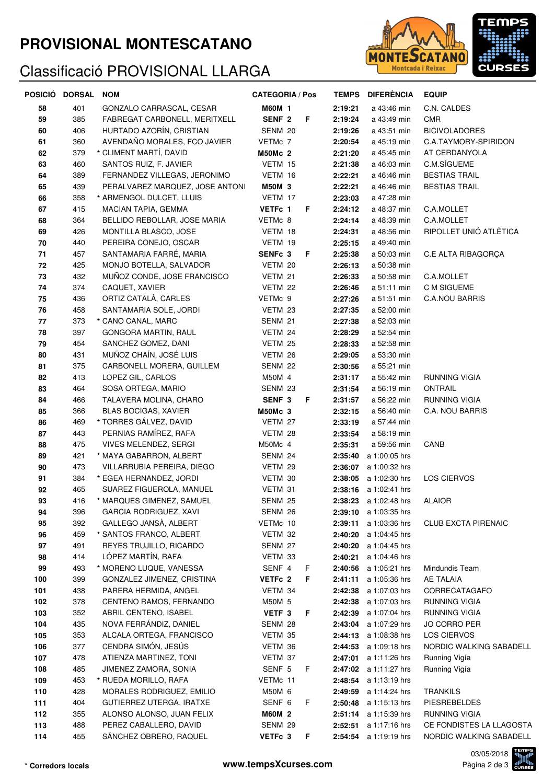### **PROVISIONAL MONTESCATANO**

# Classificació PROVISIONAL LLARGA



|     | POSICIÓ DORSAL NOM |                                 | <b>CATEGORIA / Pos</b> |    |         | TEMPS DIFERÈNCIA             | <b>EQUIP</b>               |
|-----|--------------------|---------------------------------|------------------------|----|---------|------------------------------|----------------------------|
| 58  | 401                | GONZALO CARRASCAL, CESAR        | <b>M60M 1</b>          |    | 2:19:21 | a 43:46 min                  | C.N. CALDES                |
| 59  | 385                | FABREGAT CARBONELL, MERITXELL   | SENF <sub>2</sub>      | F  | 2:19:24 | a 43:49 min                  | <b>CMR</b>                 |
| 60  | 406                | HURTADO AZORÍN, CRISTIAN        | SENM 20                |    | 2:19:26 | a 43:51 min                  | <b>BICIVOLADORES</b>       |
| 61  | 360                | AVENDAÑO MORALES, FCO JAVIER    | VETMc 7                |    | 2:20:54 | a 45:19 min                  | C.A.TAYMORY-SPIRIDON       |
| 62  | 379                | * CLIMENT MARTÍ, DAVID          | <b>M50Mc 2</b>         |    | 2:21:20 | a 45:45 min                  | AT CERDANYOLA              |
| 63  | 460                | SANTOS RUIZ, F. JAVIER          | VETM 15                |    | 2:21:38 | a 46:03 min                  | C.M.SÍGUEME                |
| 64  | 389                | FERNANDEZ VILLEGAS, JERONIMO    | VETM 16                |    | 2:22:21 | a 46:46 min                  | <b>BESTIAS TRAIL</b>       |
| 65  | 439                | PERALVAREZ MARQUEZ, JOSE ANTONI | M50M 3                 |    | 2:22:21 | a 46:46 min                  | <b>BESTIAS TRAIL</b>       |
| 66  | 358                | * ARMENGOL DULCET, LLUIS        | VETM 17                |    | 2:23:03 | a 47:28 min                  |                            |
| 67  | 415                | MACIAN TAPIA, GEMMA             | VETFc 1                | F  | 2:24:12 | a 48:37 min                  | C.A.MOLLET                 |
| 68  | 364                | BELLIDO REBOLLAR, JOSE MARIA    | VETMc 8                |    | 2:24:14 | a 48:39 min                  | C.A.MOLLET                 |
| 69  | 426                | MONTILLA BLASCO, JOSE           | VETM 18                |    | 2:24:31 | a 48:56 min                  | RIPOLLET UNIÓ ATLÈTICA     |
| 70  | 440                | PEREIRA CONEJO, OSCAR           | VETM 19                |    | 2:25:15 | a 49:40 min                  |                            |
| 71  | 457                | SANTAMARIA FARRÉ, MARIA         | SENFc 3                | F  | 2:25:38 | a 50:03 min                  | C.E ALTA RIBAGORÇA         |
| 72  | 425                | MONJO BOTELLA, SALVADOR         | VETM 20                |    | 2:26:13 | a 50:38 min                  |                            |
| 73  | 432                | MUÑOZ CONDE, JOSE FRANCISCO     | VETM 21                |    | 2:26:33 | a 50:58 min                  | C.A.MOLLET                 |
| 74  | 374                | CAQUET, XAVIER                  | VETM 22                |    | 2:26:46 | a 51:11 min                  | C M SIGUEME                |
| 75  | 436                | ORTIZ CATALÀ, CARLES            | VETMc 9                |    | 2:27:26 | a 51:51 min                  | <b>C.A.NOU BARRIS</b>      |
| 76  | 458                | SANTAMARIA SOLE, JORDI          | VETM 23                |    | 2:27:35 | a 52:00 min                  |                            |
| 77  | 373                | * CANO CANAL, MARC              | SENM 21                |    | 2:27:38 | a 52:03 min                  |                            |
| 78  | 397                | GONGORA MARTIN, RAUL            | VETM 24                |    | 2:28:29 | a 52:54 min                  |                            |
| 79  | 454                | SANCHEZ GOMEZ, DANI             | VETM 25                |    | 2:28:33 | a 52:58 min                  |                            |
| 80  | 431                | MUÑOZ CHAÍN, JOSÉ LUIS          | VETM 26                |    | 2:29:05 | a 53:30 min                  |                            |
| 81  | 375                | CARBONELL MORERA, GUILLEM       | SENM 22                |    | 2:30:56 | a 55:21 min                  |                            |
| 82  | 413                | LOPEZ GIL, CARLOS               | M50M 4                 |    | 2:31:17 | a 55:42 min                  | <b>RUNNING VIGIA</b>       |
| 83  | 464                | SOSA ORTEGA, MARIO              | SENM 23                |    | 2:31:54 | a 56:19 min                  | <b>ONTRAIL</b>             |
| 84  | 466                | TALAVERA MOLINA, CHARO          | SENF <sub>3</sub>      | F  | 2:31:57 | a 56:22 min                  | RUNNING VIGIA              |
| 85  | 366                | <b>BLAS BOCIGAS, XAVIER</b>     | <b>M50Mc 3</b>         |    | 2:32:15 | a 56:40 min                  | C.A. NOU BARRIS            |
| 86  | 469                | * TORRES GÁLVEZ, DAVID          | VETM 27                |    | 2:33:19 | a 57:44 min                  |                            |
| 87  | 443                | PERNIAS RAMÍREZ, RAFA           | VETM 28                |    | 2:33:54 | a 58:19 min                  |                            |
| 88  | 475                | VIVES MELENDEZ, SERGI           | M50Mc 4                |    | 2:35:31 | a 59:56 min                  | CANB                       |
| 89  | 421                | * MAYA GABARRON, ALBERT         | SENM 24                |    | 2:35:40 | a 1:00:05 hrs                |                            |
| 90  | 473                | VILLARRUBIA PEREIRA, DIEGO      | VETM 29                |    | 2:36:07 | a 1:00:32 hrs                |                            |
| 91  | 384                | * EGEA HERNANDEZ, JORDI         | VETM 30                |    | 2:38:05 | a 1:02:30 hrs                | LOS CIERVOS                |
| 92  | 465                | SUAREZ FIGUEROLA, MANUEL        | VETM 31                |    |         | <b>2:38:16</b> a 1:02:41 hrs |                            |
| 93  | 416                | * MARQUES GIMENEZ, SAMUEL       | SENM 25                |    |         | 2:38:23 a 1:02:48 hrs        | <b>ALAIOR</b>              |
| 94  | 396                | GARCIA RODRIGUEZ, XAVI          | SENM 26                |    | 2:39:10 | a 1:03:35 hrs                |                            |
| 95  | 392                | GALLEGO JANSA, ALBERT           | VETMc 10               |    | 2:39:11 | a 1:03:36 hrs                | <b>CLUB EXCTA PIRENAIC</b> |
| 96  | 459                | * SANTOS FRANCO, ALBERT         | VETM 32                |    | 2:40:20 | a 1:04:45 hrs                |                            |
| 97  | 491                | REYES TRUJILLO, RICARDO         | SENM 27                |    | 2:40:20 | a 1:04:45 hrs                |                            |
| 98  | 414                | LÓPEZ MARTÍN, RAFA              | VETM 33                |    | 2:40:21 | a 1:04:46 hrs                |                            |
| 99  | 493                | * MORENO LUQUE, VANESSA         | SENF 4                 | F  | 2:40:56 | a 1:05:21 hrs                | Mindundis Team             |
| 100 | 399                | GONZALEZ JIMENEZ, CRISTINA      | VETFc 2                | F  | 2:41:11 | a 1:05:36 hrs                | <b>AE TALAIA</b>           |
| 101 | 438                | PARERA HERMIDA, ANGEL           | VETM 34                |    | 2:42:38 | a 1:07:03 hrs                | CORRECATAGAFO              |
| 102 | 378                | CENTENO RAMOS, FERNANDO         | M50M 5                 |    | 2:42:38 | a 1:07:03 hrs                | RUNNING VIGIA              |
| 103 | 352                | ABRIL CENTENO, ISABEL           | VETF <sub>3</sub>      | F  | 2:42:39 | a 1:07:04 hrs                | RUNNING VIGIA              |
| 104 | 435                | NOVA FERRÁNDIZ, DANIEL          | SENM 28                |    | 2:43:04 | a 1:07:29 hrs                | <b>JO CORRO PER</b>        |
| 105 | 353                | ALCALA ORTEGA, FRANCISCO        | VETM 35                |    | 2:44:13 | a 1:08:38 hrs                | LOS CIERVOS                |
| 106 | 377                | CENDRA SIMÓN, JESÚS             | VETM 36                |    | 2:44:53 | a 1:09:18 hrs                | NORDIC WALKING SABADELL    |
| 107 | 478                | ATIENZA MARTINEZ, TONI          | VETM 37                |    | 2:47:01 | a 1:11:26 hrs                | Running Vigía              |
| 108 | 485                | JIMENEZ ZAMORA, SONIA           | SENF 5                 | F  | 2:47:02 | a 1:11:27 hrs                | Running Vigía              |
| 109 | 453                | * RUEDA MORILLO, RAFA           | VETMc 11               |    | 2:48:54 | a 1:13:19 hrs                |                            |
| 110 | 428                | MORALES RODRIGUEZ, EMILIO       | M50M 6                 |    | 2:49:59 | a 1:14:24 hrs                | <b>TRANKILS</b>            |
| 111 | 404                | GUTIERREZ UTERGA, IRATXE        | SENF 6                 | F  | 2:50:48 | a 1:15:13 hrs                | <b>PIESREBELDES</b>        |
| 112 | 355                | ALONSO ALONSO, JUAN FELIX       | <b>M60M 2</b>          |    | 2:51:14 | a 1:15:39 hrs                | RUNNING VIGIA              |
| 113 | 488                | PEREZ CABALLERO, DAVID          | SENM 29                |    | 2:52:51 | a 1:17:16 hrs                | CE FONDISTES LA LLAGOSTA   |
| 114 | 455                | SÁNCHEZ OBRERO, RAQUEL          | VETFc 3                | F. | 2:54:54 | a 1:19:19 hrs                | NORDIC WALKING SABADELL    |

03/05/2018